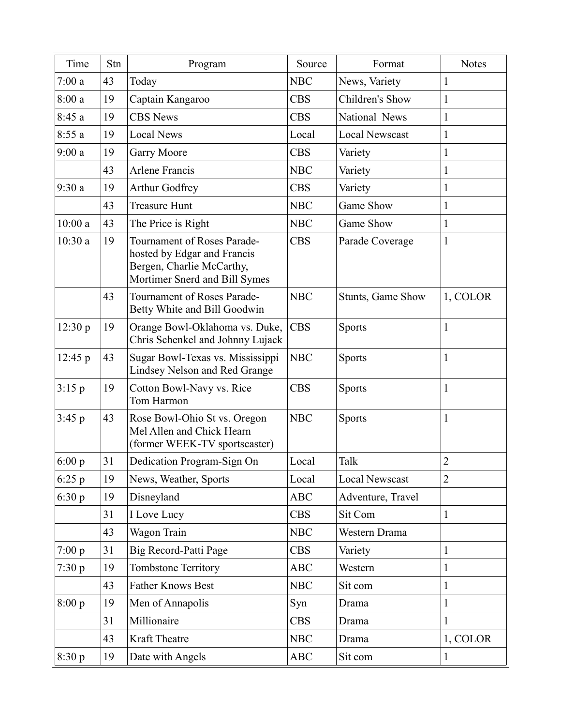| Time     | Stn | Program                                                                                                                  | Source     | Format                   | <b>Notes</b>   |
|----------|-----|--------------------------------------------------------------------------------------------------------------------------|------------|--------------------------|----------------|
| 7:00a    | 43  | Today                                                                                                                    | <b>NBC</b> | News, Variety            | 1              |
| 8:00a    | 19  | Captain Kangaroo                                                                                                         | <b>CBS</b> | Children's Show          | $\mathbf{1}$   |
| 8:45a    | 19  | <b>CBS</b> News                                                                                                          | <b>CBS</b> | National News            | $\mathbf{1}$   |
| 8:55a    | 19  | <b>Local News</b>                                                                                                        | Local      | <b>Local Newscast</b>    | $\mathbf{1}$   |
| 9:00a    | 19  | Garry Moore                                                                                                              | <b>CBS</b> | Variety                  | $\mathbf{1}$   |
|          | 43  | <b>Arlene Francis</b>                                                                                                    | <b>NBC</b> | Variety                  | $\mathbf{1}$   |
| 9:30a    | 19  | Arthur Godfrey                                                                                                           | <b>CBS</b> | Variety                  | $\mathbf{1}$   |
|          | 43  | <b>Treasure Hunt</b>                                                                                                     | <b>NBC</b> | Game Show                | $\mathbf{1}$   |
| 10:00a   | 43  | The Price is Right                                                                                                       | <b>NBC</b> | Game Show                | $\mathbf{1}$   |
| 10:30a   | 19  | Tournament of Roses Parade-<br>hosted by Edgar and Francis<br>Bergen, Charlie McCarthy,<br>Mortimer Snerd and Bill Symes | <b>CBS</b> | Parade Coverage          | $\mathbf{1}$   |
|          | 43  | Tournament of Roses Parade-<br>Betty White and Bill Goodwin                                                              | <b>NBC</b> | <b>Stunts, Game Show</b> | 1, COLOR       |
| 12:30 p  | 19  | Orange Bowl-Oklahoma vs. Duke,<br>Chris Schenkel and Johnny Lujack                                                       | <b>CBS</b> | <b>Sports</b>            | $\mathbf{1}$   |
| 12:45 p  | 43  | Sugar Bowl-Texas vs. Mississippi<br>Lindsey Nelson and Red Grange                                                        | <b>NBC</b> | <b>Sports</b>            | $\mathbf{1}$   |
| 3:15 p   | 19  | Cotton Bowl-Navy vs. Rice<br>Tom Harmon                                                                                  | <b>CBS</b> | <b>Sports</b>            | $\mathbf{1}$   |
| 3:45 p   | 43  | Rose Bowl-Ohio St vs. Oregon<br>Mel Allen and Chick Hearn<br>(former WEEK-TV sportscaster)                               | <b>NBC</b> | Sports                   | $\mathbf{1}$   |
| 6:00 $p$ | 31  | Dedication Program-Sign On                                                                                               | Local      | Talk                     | $\overline{2}$ |
| 6:25p    | 19  | News, Weather, Sports                                                                                                    | Local      | Local Newscast           | $\overline{2}$ |
| 6:30 p   | 19  | Disneyland                                                                                                               | <b>ABC</b> | Adventure, Travel        |                |
|          | 31  | I Love Lucy                                                                                                              | <b>CBS</b> | Sit Com                  | $\mathbf{1}$   |
|          | 43  | Wagon Train                                                                                                              | <b>NBC</b> | Western Drama            |                |
| 7:00 p   | 31  | Big Record-Patti Page                                                                                                    | <b>CBS</b> | Variety                  | $\mathbf{1}$   |
| 7:30 p   | 19  | <b>Tombstone Territory</b>                                                                                               | <b>ABC</b> | Western                  | $\mathbf{1}$   |
|          | 43  | <b>Father Knows Best</b>                                                                                                 | <b>NBC</b> | Sit com                  | $\mathbf{1}$   |
| 8:00 p   | 19  | Men of Annapolis                                                                                                         | Syn        | Drama                    | $\mathbf{1}$   |
|          | 31  | Millionaire                                                                                                              | <b>CBS</b> | Drama                    | $\mathbf{1}$   |
|          | 43  | Kraft Theatre                                                                                                            | <b>NBC</b> | Drama                    | 1, COLOR       |
| 8:30 p   | 19  | Date with Angels                                                                                                         | <b>ABC</b> | Sit com                  | $\mathbf{1}$   |